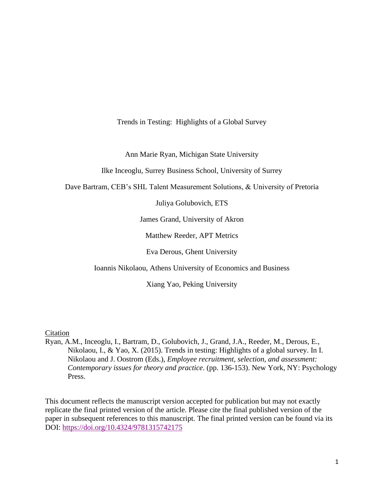Trends in Testing: Highlights of a Global Survey

Ann Marie Ryan, Michigan State University

Ilke Inceoglu, Surrey Business School, University of Surrey

Dave Bartram, CEB's SHL Talent Measurement Solutions, & University of Pretoria

Juliya Golubovich, ETS

James Grand, University of Akron

Matthew Reeder, APT Metrics

Eva Derous, Ghent University

Ioannis Nikolaou, Athens University of Economics and Business

Xiang Yao, Peking University

**Citation** 

Ryan, A.M., Inceoglu, I., Bartram, D., Golubovich, J., Grand, J.A., Reeder, M., Derous, E., Nikolaou, I., & Yao, X. (2015). Trends in testing: Highlights of a global survey. In I. Nikolaou and J. Oostrom (Eds.), *Employee recruitment, selection, and assessment: Contemporary issues for theory and practice*. (pp. 136-153). New York, NY: Psychology Press.

This document reflects the manuscript version accepted for publication but may not exactly replicate the final printed version of the article. Please cite the final published version of the paper in subsequent references to this manuscript. The final printed version can be found via its DOI:<https://doi.org/10.4324/9781315742175>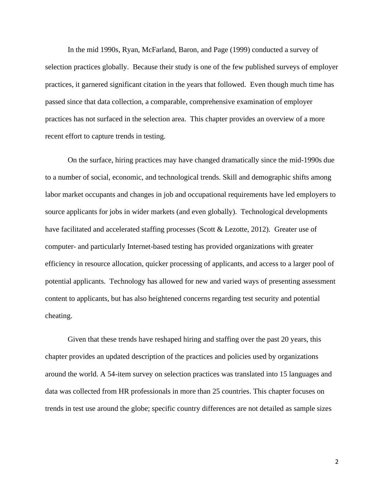In the mid 1990s, Ryan, McFarland, Baron, and Page (1999) conducted a survey of selection practices globally. Because their study is one of the few published surveys of employer practices, it garnered significant citation in the years that followed. Even though much time has passed since that data collection, a comparable, comprehensive examination of employer practices has not surfaced in the selection area. This chapter provides an overview of a more recent effort to capture trends in testing.

On the surface, hiring practices may have changed dramatically since the mid-1990s due to a number of social, economic, and technological trends. Skill and demographic shifts among labor market occupants and changes in job and occupational requirements have led employers to source applicants for jobs in wider markets (and even globally). Technological developments have facilitated and accelerated staffing processes (Scott & Lezotte, 2012). Greater use of computer- and particularly Internet-based testing has provided organizations with greater efficiency in resource allocation, quicker processing of applicants, and access to a larger pool of potential applicants. Technology has allowed for new and varied ways of presenting assessment content to applicants, but has also heightened concerns regarding test security and potential cheating.

Given that these trends have reshaped hiring and staffing over the past 20 years, this chapter provides an updated description of the practices and policies used by organizations around the world. A 54-item survey on selection practices was translated into 15 languages and data was collected from HR professionals in more than 25 countries. This chapter focuses on trends in test use around the globe; specific country differences are not detailed as sample sizes

2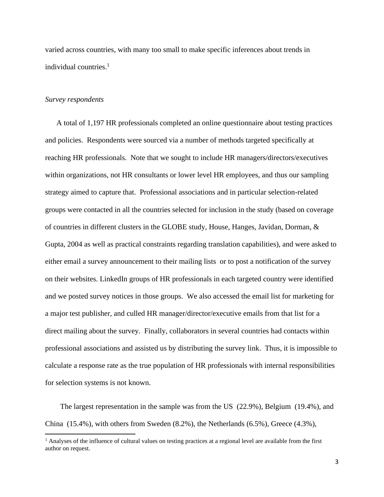varied across countries, with many too small to make specific inferences about trends in individual countries.<sup>1</sup>

#### *Survey respondents*

A total of 1,197 HR professionals completed an online questionnaire about testing practices and policies. Respondents were sourced via a number of methods targeted specifically at reaching HR professionals. Note that we sought to include HR managers/directors/executives within organizations, not HR consultants or lower level HR employees, and thus our sampling strategy aimed to capture that. Professional associations and in particular selection-related groups were contacted in all the countries selected for inclusion in the study (based on coverage of countries in different clusters in the GLOBE study, House, Hanges, Javidan, Dorman, & Gupta, 2004 as well as practical constraints regarding translation capabilities), and were asked to either email a survey announcement to their mailing lists or to post a notification of the survey on their websites. LinkedIn groups of HR professionals in each targeted country were identified and we posted survey notices in those groups. We also accessed the email list for marketing for a major test publisher, and culled HR manager/director/executive emails from that list for a direct mailing about the survey. Finally, collaborators in several countries had contacts within professional associations and assisted us by distributing the survey link. Thus, it is impossible to calculate a response rate as the true population of HR professionals with internal responsibilities for selection systems is not known.

The largest representation in the sample was from the US (22.9%), Belgium (19.4%), and China (15.4%), with others from Sweden (8.2%), the Netherlands (6.5%), Greece (4.3%),

 $<sup>1</sup>$  Analyses of the influence of cultural values on testing practices at a regional level are available from the first</sup> author on request.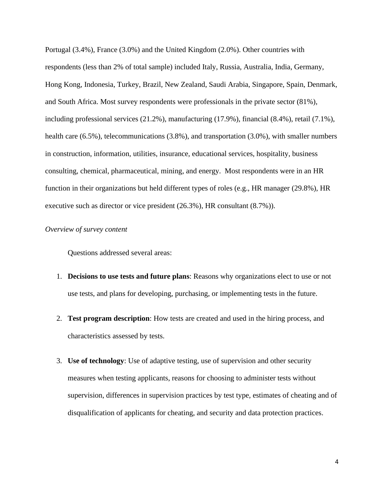Portugal (3.4%), France (3.0%) and the United Kingdom (2.0%). Other countries with respondents (less than 2% of total sample) included Italy, Russia, Australia, India, Germany, Hong Kong, Indonesia, Turkey, Brazil, New Zealand, Saudi Arabia, Singapore, Spain, Denmark, and South Africa. Most survey respondents were professionals in the private sector (81%), including professional services (21.2%), manufacturing (17.9%), financial (8.4%), retail (7.1%), health care (6.5%), telecommunications (3.8%), and transportation (3.0%), with smaller numbers in construction, information, utilities, insurance, educational services, hospitality, business consulting, chemical, pharmaceutical, mining, and energy. Most respondents were in an HR function in their organizations but held different types of roles (e.g., HR manager (29.8%), HR executive such as director or vice president (26.3%), HR consultant (8.7%)).

### *Overview of survey content*

Questions addressed several areas:

- 1. **Decisions to use tests and future plans**: Reasons why organizations elect to use or not use tests, and plans for developing, purchasing, or implementing tests in the future.
- 2. **Test program description**: How tests are created and used in the hiring process, and characteristics assessed by tests.
- 3. **Use of technology**: Use of adaptive testing, use of supervision and other security measures when testing applicants, reasons for choosing to administer tests without supervision, differences in supervision practices by test type, estimates of cheating and of disqualification of applicants for cheating, and security and data protection practices.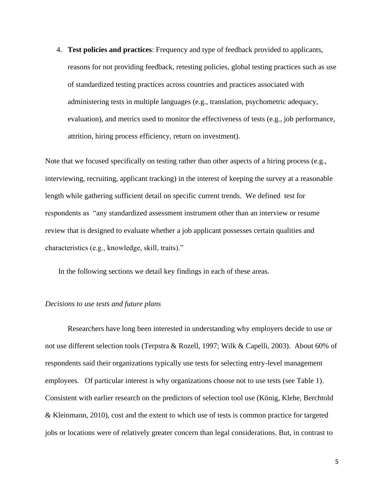4. **Test policies and practices**: Frequency and type of feedback provided to applicants, reasons for not providing feedback, retesting policies, global testing practices such as use of standardized testing practices across countries and practices associated with administering tests in multiple languages (e.g., translation, psychometric adequacy, evaluation), and metrics used to monitor the effectiveness of tests (e.g., job performance, attrition, hiring process efficiency, return on investment).

Note that we focused specifically on testing rather than other aspects of a hiring process (e.g., interviewing, recruiting, applicant tracking) in the interest of keeping the survey at a reasonable length while gathering sufficient detail on specific current trends. We defined test for respondents as "any standardized assessment instrument other than an interview or resume review that is designed to evaluate whether a job applicant possesses certain qualities and characteristics (e.g., knowledge, skill, traits)."

In the following sections we detail key findings in each of these areas.

### *Decisions to use tests and future plans*

Researchers have long been interested in understanding why employers decide to use or not use different selection tools (Terpstra & Rozell, 1997; Wilk & Capelli, 2003). About 60% of respondents said their organizations typically use tests for selecting entry-level management employees. Of particular interest is why organizations choose not to use tests (see Table 1). Consistent with earlier research on the predictors of selection tool use (König, Klehe, Berchtold & Kleinmann, 2010), cost and the extent to which use of tests is common practice for targeted jobs or locations were of relatively greater concern than legal considerations. But, in contrast to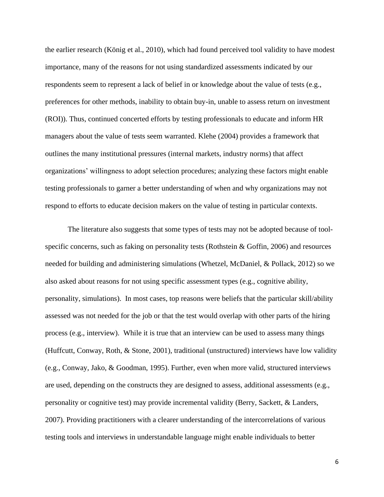the earlier research (König et al., 2010), which had found perceived tool validity to have modest importance, many of the reasons for not using standardized assessments indicated by our respondents seem to represent a lack of belief in or knowledge about the value of tests (e.g., preferences for other methods, inability to obtain buy-in, unable to assess return on investment (ROI)). Thus, continued concerted efforts by testing professionals to educate and inform HR managers about the value of tests seem warranted. Klehe (2004) provides a framework that outlines the many institutional pressures (internal markets, industry norms) that affect organizations' willingness to adopt selection procedures; analyzing these factors might enable testing professionals to garner a better understanding of when and why organizations may not respond to efforts to educate decision makers on the value of testing in particular contexts.

The literature also suggests that some types of tests may not be adopted because of toolspecific concerns, such as faking on personality tests (Rothstein & Goffin, 2006) and resources needed for building and administering simulations (Whetzel, McDaniel, & Pollack, 2012) so we also asked about reasons for not using specific assessment types (e.g., cognitive ability, personality, simulations). In most cases, top reasons were beliefs that the particular skill/ability assessed was not needed for the job or that the test would overlap with other parts of the hiring process (e.g., interview). While it is true that an interview can be used to assess many things (Huffcutt, Conway, Roth, & Stone, 2001), traditional (unstructured) interviews have low validity (e.g., Conway, Jako, & Goodman, 1995). Further, even when more valid, structured interviews are used, depending on the constructs they are designed to assess, additional assessments (e.g., personality or cognitive test) may provide incremental validity (Berry, Sackett, & Landers, 2007). Providing practitioners with a clearer understanding of the intercorrelations of various testing tools and interviews in understandable language might enable individuals to better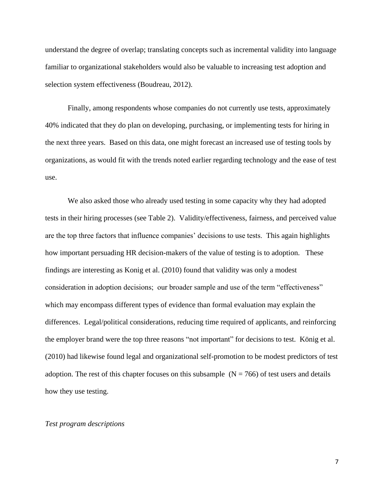understand the degree of overlap; translating concepts such as incremental validity into language familiar to organizational stakeholders would also be valuable to increasing test adoption and selection system effectiveness (Boudreau, 2012).

Finally, among respondents whose companies do not currently use tests, approximately 40% indicated that they do plan on developing, purchasing, or implementing tests for hiring in the next three years. Based on this data, one might forecast an increased use of testing tools by organizations, as would fit with the trends noted earlier regarding technology and the ease of test use.

We also asked those who already used testing in some capacity why they had adopted tests in their hiring processes (see Table 2). Validity/effectiveness, fairness, and perceived value are the top three factors that influence companies' decisions to use tests. This again highlights how important persuading HR decision-makers of the value of testing is to adoption. These findings are interesting as Konig et al. (2010) found that validity was only a modest consideration in adoption decisions; our broader sample and use of the term "effectiveness" which may encompass different types of evidence than formal evaluation may explain the differences. Legal/political considerations, reducing time required of applicants, and reinforcing the employer brand were the top three reasons "not important" for decisions to test. König et al. (2010) had likewise found legal and organizational self-promotion to be modest predictors of test adoption. The rest of this chapter focuses on this subsample  $(N = 766)$  of test users and details how they use testing.

#### *Test program descriptions*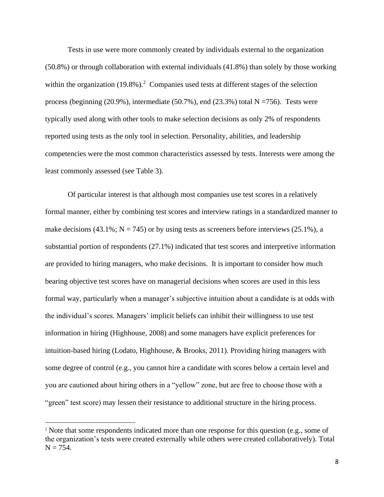Tests in use were more commonly created by individuals external to the organization (50.8%) or through collaboration with external individuals (41.8%) than solely by those working within the organization (19.8%).<sup>2</sup> Companies used tests at different stages of the selection process (beginning  $(20.9\%)$ , intermediate  $(50.7\%)$ , end  $(23.3\%)$  total N =756). Tests were typically used along with other tools to make selection decisions as only 2% of respondents reported using tests as the only tool in selection. Personality, abilities, and leadership competencies were the most common characteristics assessed by tests. Interests were among the least commonly assessed (see Table 3).

Of particular interest is that although most companies use test scores in a relatively formal manner, either by combining test scores and interview ratings in a standardized manner to make decisions (43.1%;  $N = 745$ ) or by using tests as screeners before interviews (25.1%), a substantial portion of respondents (27.1%) indicated that test scores and interpretive information are provided to hiring managers, who make decisions. It is important to consider how much bearing objective test scores have on managerial decisions when scores are used in this less formal way, particularly when a manager's subjective intuition about a candidate is at odds with the individual's scores. Managers' implicit beliefs can inhibit their willingness to use test information in hiring (Highhouse, 2008) and some managers have explicit preferences for intuition-based hiring (Lodato, Highhouse, & Brooks, 2011). Providing hiring managers with some degree of control (e.g., you cannot hire a candidate with scores below a certain level and you are cautioned about hiring others in a "yellow" zone, but are free to choose those with a "green" test score) may lessen their resistance to additional structure in the hiring process.

<sup>&</sup>lt;sup>2</sup> Note that some respondents indicated more than one response for this question (e.g., some of the organization's tests were created externally while others were created collaboratively). Total  $N = 754.$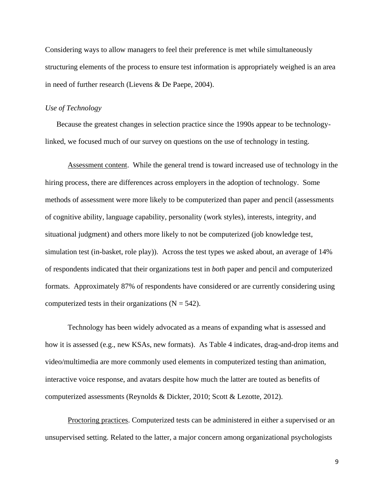Considering ways to allow managers to feel their preference is met while simultaneously structuring elements of the process to ensure test information is appropriately weighed is an area in need of further research (Lievens & De Paepe, 2004).

### *Use of Technology*

Because the greatest changes in selection practice since the 1990s appear to be technologylinked, we focused much of our survey on questions on the use of technology in testing.

Assessment content. While the general trend is toward increased use of technology in the hiring process, there are differences across employers in the adoption of technology. Some methods of assessment were more likely to be computerized than paper and pencil (assessments of cognitive ability, language capability, personality (work styles), interests, integrity, and situational judgment) and others more likely to not be computerized (job knowledge test, simulation test (in-basket, role play)). Across the test types we asked about, an average of 14% of respondents indicated that their organizations test in *both* paper and pencil and computerized formats. Approximately 87% of respondents have considered or are currently considering using computerized tests in their organizations  $(N = 542)$ .

Technology has been widely advocated as a means of expanding what is assessed and how it is assessed (e.g., new KSAs, new formats). As Table 4 indicates, drag-and-drop items and video/multimedia are more commonly used elements in computerized testing than animation, interactive voice response, and avatars despite how much the latter are touted as benefits of computerized assessments (Reynolds & Dickter, 2010; Scott & Lezotte, 2012).

Proctoring practices. Computerized tests can be administered in either a supervised or an unsupervised setting. Related to the latter, a major concern among organizational psychologists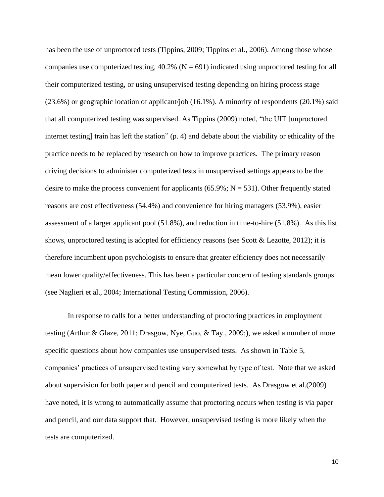has been the use of unproctored tests (Tippins, 2009; Tippins et al., 2006). Among those whose companies use computerized testing,  $40.2\%$  (N = 691) indicated using unproctored testing for all their computerized testing, or using unsupervised testing depending on hiring process stage (23.6%) or geographic location of applicant/job (16.1%). A minority of respondents (20.1%) said that all computerized testing was supervised. As Tippins (2009) noted, "the UIT [unproctored internet testing] train has left the station" (p. 4) and debate about the viability or ethicality of the practice needs to be replaced by research on how to improve practices. The primary reason driving decisions to administer computerized tests in unsupervised settings appears to be the desire to make the process convenient for applicants (65.9%;  $N = 531$ ). Other frequently stated reasons are cost effectiveness (54.4%) and convenience for hiring managers (53.9%), easier assessment of a larger applicant pool (51.8%), and reduction in time-to-hire (51.8%). As this list shows, unproctored testing is adopted for efficiency reasons (see Scott & Lezotte, 2012); it is therefore incumbent upon psychologists to ensure that greater efficiency does not necessarily mean lower quality/effectiveness. This has been a particular concern of testing standards groups (see Naglieri et al., 2004; International Testing Commission, 2006).

In response to calls for a better understanding of proctoring practices in employment testing (Arthur & Glaze, 2011; Drasgow, Nye, Guo, & Tay., 2009;), we asked a number of more specific questions about how companies use unsupervised tests. As shown in Table 5, companies' practices of unsupervised testing vary somewhat by type of test. Note that we asked about supervision for both paper and pencil and computerized tests. As Drasgow et al.(2009) have noted, it is wrong to automatically assume that proctoring occurs when testing is via paper and pencil, and our data support that. However, unsupervised testing is more likely when the tests are computerized.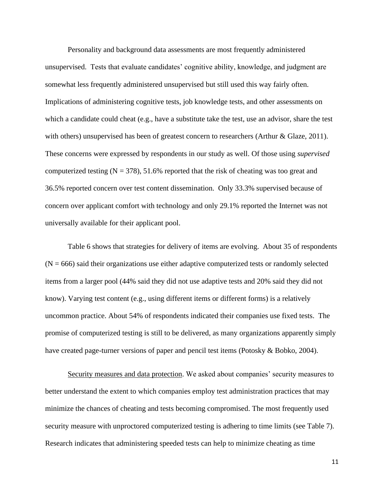Personality and background data assessments are most frequently administered unsupervised. Tests that evaluate candidates' cognitive ability, knowledge, and judgment are somewhat less frequently administered unsupervised but still used this way fairly often. Implications of administering cognitive tests, job knowledge tests, and other assessments on which a candidate could cheat (e.g., have a substitute take the test, use an advisor, share the test with others) unsupervised has been of greatest concern to researchers (Arthur & Glaze, 2011). These concerns were expressed by respondents in our study as well. Of those using *supervised* computerized testing  $(N = 378)$ , 51.6% reported that the risk of cheating was too great and 36.5% reported concern over test content dissemination. Only 33.3% supervised because of concern over applicant comfort with technology and only 29.1% reported the Internet was not universally available for their applicant pool.

Table 6 shows that strategies for delivery of items are evolving. About 35 of respondents  $(N = 666)$  said their organizations use either adaptive computerized tests or randomly selected items from a larger pool (44% said they did not use adaptive tests and 20% said they did not know). Varying test content (e.g., using different items or different forms) is a relatively uncommon practice. About 54% of respondents indicated their companies use fixed tests. The promise of computerized testing is still to be delivered, as many organizations apparently simply have created page-turner versions of paper and pencil test items (Potosky & Bobko, 2004).

Security measures and data protection. We asked about companies' security measures to better understand the extent to which companies employ test administration practices that may minimize the chances of cheating and tests becoming compromised. The most frequently used security measure with unproctored computerized testing is adhering to time limits (see Table 7). Research indicates that administering speeded tests can help to minimize cheating as time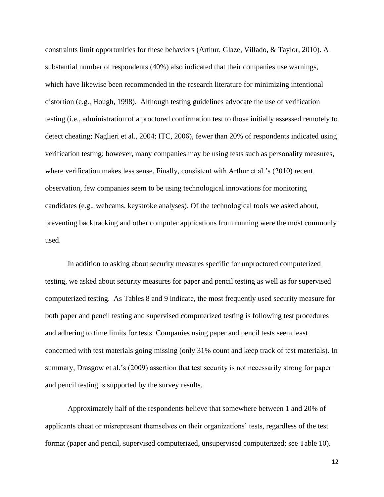constraints limit opportunities for these behaviors (Arthur, Glaze, Villado, & Taylor, 2010). A substantial number of respondents (40%) also indicated that their companies use warnings, which have likewise been recommended in the research literature for minimizing intentional distortion (e.g., Hough, 1998). Although testing guidelines advocate the use of verification testing (i.e., administration of a proctored confirmation test to those initially assessed remotely to detect cheating; Naglieri et al., 2004; ITC, 2006), fewer than 20% of respondents indicated using verification testing; however, many companies may be using tests such as personality measures, where verification makes less sense. Finally, consistent with Arthur et al.'s (2010) recent observation, few companies seem to be using technological innovations for monitoring candidates (e.g., webcams, keystroke analyses). Of the technological tools we asked about, preventing backtracking and other computer applications from running were the most commonly used.

In addition to asking about security measures specific for unproctored computerized testing, we asked about security measures for paper and pencil testing as well as for supervised computerized testing. As Tables 8 and 9 indicate, the most frequently used security measure for both paper and pencil testing and supervised computerized testing is following test procedures and adhering to time limits for tests. Companies using paper and pencil tests seem least concerned with test materials going missing (only 31% count and keep track of test materials). In summary, Drasgow et al.'s (2009) assertion that test security is not necessarily strong for paper and pencil testing is supported by the survey results.

Approximately half of the respondents believe that somewhere between 1 and 20% of applicants cheat or misrepresent themselves on their organizations' tests, regardless of the test format (paper and pencil, supervised computerized, unsupervised computerized; see Table 10).

12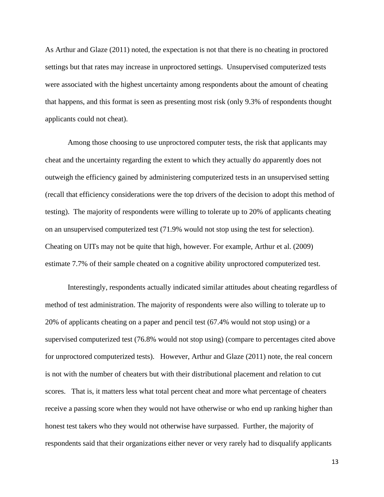As Arthur and Glaze (2011) noted, the expectation is not that there is no cheating in proctored settings but that rates may increase in unproctored settings. Unsupervised computerized tests were associated with the highest uncertainty among respondents about the amount of cheating that happens, and this format is seen as presenting most risk (only 9.3% of respondents thought applicants could not cheat).

Among those choosing to use unproctored computer tests, the risk that applicants may cheat and the uncertainty regarding the extent to which they actually do apparently does not outweigh the efficiency gained by administering computerized tests in an unsupervised setting (recall that efficiency considerations were the top drivers of the decision to adopt this method of testing). The majority of respondents were willing to tolerate up to 20% of applicants cheating on an unsupervised computerized test (71.9% would not stop using the test for selection). Cheating on UITs may not be quite that high, however. For example, Arthur et al. (2009) estimate 7.7% of their sample cheated on a cognitive ability unproctored computerized test.

Interestingly, respondents actually indicated similar attitudes about cheating regardless of method of test administration. The majority of respondents were also willing to tolerate up to 20% of applicants cheating on a paper and pencil test (67.4% would not stop using) or a supervised computerized test (76.8% would not stop using) (compare to percentages cited above for unproctored computerized tests). However, Arthur and Glaze (2011) note, the real concern is not with the number of cheaters but with their distributional placement and relation to cut scores. That is, it matters less what total percent cheat and more what percentage of cheaters receive a passing score when they would not have otherwise or who end up ranking higher than honest test takers who they would not otherwise have surpassed. Further, the majority of respondents said that their organizations either never or very rarely had to disqualify applicants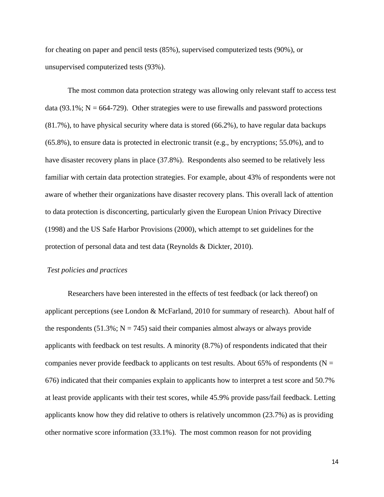for cheating on paper and pencil tests (85%), supervised computerized tests (90%), or unsupervised computerized tests (93%).

The most common data protection strategy was allowing only relevant staff to access test data (93.1%;  $N = 664-729$ ). Other strategies were to use firewalls and password protections (81.7%), to have physical security where data is stored (66.2%), to have regular data backups (65.8%), to ensure data is protected in electronic transit (e.g., by encryptions; 55.0%), and to have disaster recovery plans in place (37.8%). Respondents also seemed to be relatively less familiar with certain data protection strategies. For example, about 43% of respondents were not aware of whether their organizations have disaster recovery plans. This overall lack of attention to data protection is disconcerting, particularly given the European Union Privacy Directive (1998) and the US Safe Harbor Provisions (2000), which attempt to set guidelines for the protection of personal data and test data (Reynolds & Dickter, 2010).

### *Test policies and practices*

Researchers have been interested in the effects of test feedback (or lack thereof) on applicant perceptions (see London & McFarland, 2010 for summary of research). About half of the respondents  $(51.3\%; N = 745)$  said their companies almost always or always provide applicants with feedback on test results. A minority (8.7%) of respondents indicated that their companies never provide feedback to applicants on test results. About 65% of respondents ( $N =$ 676) indicated that their companies explain to applicants how to interpret a test score and 50.7% at least provide applicants with their test scores, while 45.9% provide pass/fail feedback. Letting applicants know how they did relative to others is relatively uncommon (23.7%) as is providing other normative score information (33.1%). The most common reason for not providing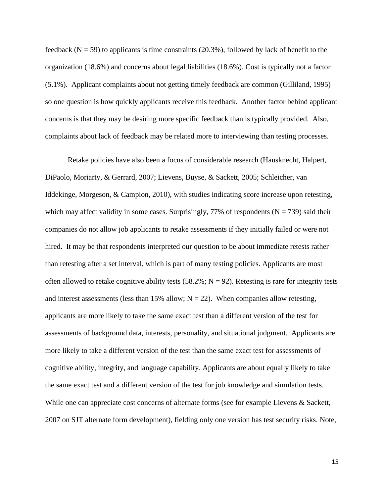feedback ( $N = 59$ ) to applicants is time constraints (20.3%), followed by lack of benefit to the organization (18.6%) and concerns about legal liabilities (18.6%). Cost is typically not a factor (5.1%). Applicant complaints about not getting timely feedback are common (Gilliland, 1995) so one question is how quickly applicants receive this feedback. Another factor behind applicant concerns is that they may be desiring more specific feedback than is typically provided. Also, complaints about lack of feedback may be related more to interviewing than testing processes.

Retake policies have also been a focus of considerable research (Hausknecht, Halpert, DiPaolo, Moriarty, & Gerrard, 2007; Lievens, Buyse, & Sackett, 2005; Schleicher, van Iddekinge, Morgeson, & Campion, 2010), with studies indicating score increase upon retesting, which may affect validity in some cases. Surprisingly, 77% of respondents ( $N = 739$ ) said their companies do not allow job applicants to retake assessments if they initially failed or were not hired. It may be that respondents interpreted our question to be about immediate retests rather than retesting after a set interval, which is part of many testing policies. Applicants are most often allowed to retake cognitive ability tests  $(58.2\%; N = 92)$ . Retesting is rare for integrity tests and interest assessments (less than 15% allow;  $N = 22$ ). When companies allow retesting, applicants are more likely to take the same exact test than a different version of the test for assessments of background data, interests, personality, and situational judgment. Applicants are more likely to take a different version of the test than the same exact test for assessments of cognitive ability, integrity, and language capability. Applicants are about equally likely to take the same exact test and a different version of the test for job knowledge and simulation tests. While one can appreciate cost concerns of alternate forms (see for example Lievens & Sackett, 2007 on SJT alternate form development), fielding only one version has test security risks. Note,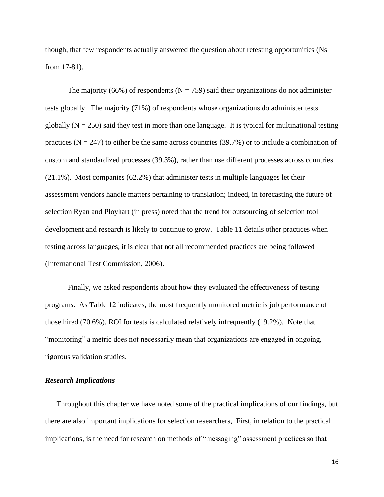though, that few respondents actually answered the question about retesting opportunities (Ns from 17-81).

The majority (66%) of respondents ( $N = 759$ ) said their organizations do not administer tests globally. The majority (71%) of respondents whose organizations do administer tests globally  $(N = 250)$  said they test in more than one language. It is typical for multinational testing practices ( $N = 247$ ) to either be the same across countries (39.7%) or to include a combination of custom and standardized processes (39.3%), rather than use different processes across countries (21.1%). Most companies (62.2%) that administer tests in multiple languages let their assessment vendors handle matters pertaining to translation; indeed, in forecasting the future of selection Ryan and Ployhart (in press) noted that the trend for outsourcing of selection tool development and research is likely to continue to grow. Table 11 details other practices when testing across languages; it is clear that not all recommended practices are being followed (International Test Commission, 2006).

Finally, we asked respondents about how they evaluated the effectiveness of testing programs. As Table 12 indicates, the most frequently monitored metric is job performance of those hired (70.6%). ROI for tests is calculated relatively infrequently (19.2%). Note that "monitoring" a metric does not necessarily mean that organizations are engaged in ongoing, rigorous validation studies.

### *Research Implications*

Throughout this chapter we have noted some of the practical implications of our findings, but there are also important implications for selection researchers, First, in relation to the practical implications, is the need for research on methods of "messaging" assessment practices so that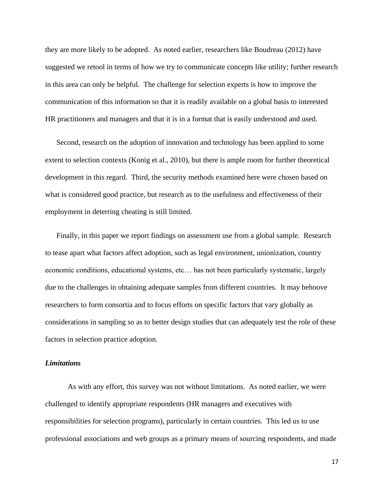they are more likely to be adopted. As noted earlier, researchers like Boudreau (2012) have suggested we retool in terms of how we try to communicate concepts like utility; further research in this area can only be helpful. The challenge for selection experts is how to improve the communication of this information so that it is readily available on a global basis to interested HR practitioners and managers and that it is in a format that is easily understood and used.

Second, research on the adoption of innovation and technology has been applied to some extent to selection contexts (Konig et al., 2010), but there is ample room for further theoretical development in this regard. Third, the security methods examined here were chosen based on what is considered good practice, but research as to the usefulness and effectiveness of their employment in deterring cheating is still limited.

Finally, in this paper we report findings on assessment use from a global sample. Research to tease apart what factors affect adoption, such as legal environment, unionization, country economic conditions, educational systems, etc… has not been particularly systematic, largely due to the challenges in obtaining adequate samples from different countries. It may behoove researchers to form consortia and to focus efforts on specific factors that vary globally as considerations in sampling so as to better design studies that can adequately test the role of these factors in selection practice adoption.

### *Limitations*

As with any effort, this survey was not without limitations. As noted earlier, we were challenged to identify appropriate respondents (HR managers and executives with responsibilities for selection programs), particularly in certain countries. This led us to use professional associations and web groups as a primary means of sourcing respondents, and made

17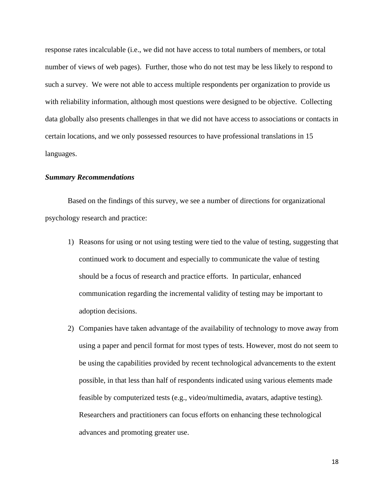response rates incalculable (i.e., we did not have access to total numbers of members, or total number of views of web pages). Further, those who do not test may be less likely to respond to such a survey. We were not able to access multiple respondents per organization to provide us with reliability information, although most questions were designed to be objective. Collecting data globally also presents challenges in that we did not have access to associations or contacts in certain locations, and we only possessed resources to have professional translations in 15 languages.

### *Summary Recommendations*

Based on the findings of this survey, we see a number of directions for organizational psychology research and practice:

- 1) Reasons for using or not using testing were tied to the value of testing, suggesting that continued work to document and especially to communicate the value of testing should be a focus of research and practice efforts. In particular, enhanced communication regarding the incremental validity of testing may be important to adoption decisions.
- 2) Companies have taken advantage of the availability of technology to move away from using a paper and pencil format for most types of tests. However, most do not seem to be using the capabilities provided by recent technological advancements to the extent possible, in that less than half of respondents indicated using various elements made feasible by computerized tests (e.g., video/multimedia, avatars, adaptive testing). Researchers and practitioners can focus efforts on enhancing these technological advances and promoting greater use.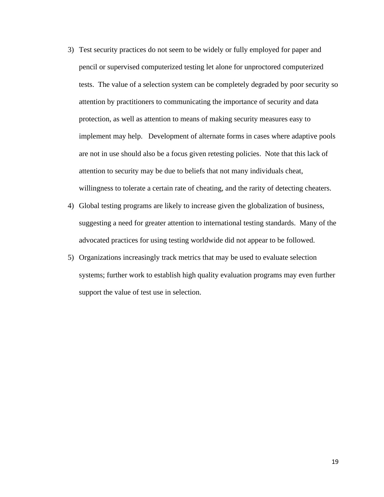- 3) Test security practices do not seem to be widely or fully employed for paper and pencil or supervised computerized testing let alone for unproctored computerized tests. The value of a selection system can be completely degraded by poor security so attention by practitioners to communicating the importance of security and data protection, as well as attention to means of making security measures easy to implement may help. Development of alternate forms in cases where adaptive pools are not in use should also be a focus given retesting policies. Note that this lack of attention to security may be due to beliefs that not many individuals cheat, willingness to tolerate a certain rate of cheating, and the rarity of detecting cheaters.
- 4) Global testing programs are likely to increase given the globalization of business, suggesting a need for greater attention to international testing standards. Many of the advocated practices for using testing worldwide did not appear to be followed.
- 5) Organizations increasingly track metrics that may be used to evaluate selection systems; further work to establish high quality evaluation programs may even further support the value of test use in selection.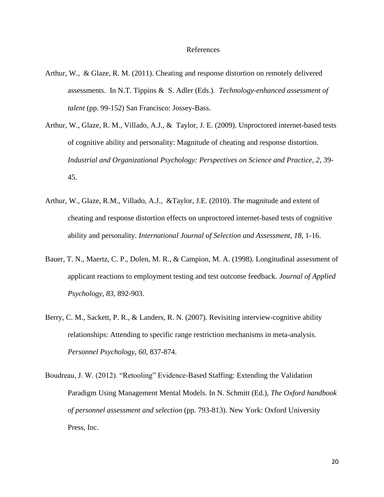#### References

- Arthur, W., & Glaze, R. M. (2011). Cheating and response distortion on remotely delivered assessments. In N.T. Tippins & S. Adler (Eds.). *Technology-enhanced assessment of talent* (pp. 99-152) San Francisco: Jossey-Bass.
- Arthur, W., Glaze, R. M., Villado, A.J., & Taylor, J. E. (2009). Unproctored internet-based tests of cognitive ability and personality: Magnitude of cheating and response distortion. *Industrial and Organizational Psychology: Perspectives on Science and Practice, 2*, 39- 45.
- Arthur, W., Glaze, R.M., Villado, A.J., &Taylor, J.E. (2010). The magnitude and extent of cheating and response distortion effects on unproctored internet-based tests of cognitive ability and personality. *International Journal of Selection and Assessment, 18*, 1-16.
- Bauer, T. N., Maertz, C. P., Dolen, M. R., & Campion, M. A. (1998). Longitudinal assessment of applicant reactions to employment testing and test outcome feedback. *Journal of Applied Psychology, 83*, 892-903.
- Berry, C. M., Sackett, P. R., & Landers, R. N. (2007). Revisiting interview-cognitive ability relationships: Attending to specific range restriction mechanisms in meta-analysis. *Personnel Psychology, 60*, 837-874.
- Boudreau, J. W. (2012). "Retooling" Evidence-Based Staffing: Extending the Validation Paradigm Using Management Mental Models. In N. Schmitt (Ed.), *The Oxford handbook of personnel assessment and selection* (pp. 793-813). New York: Oxford University Press, Inc.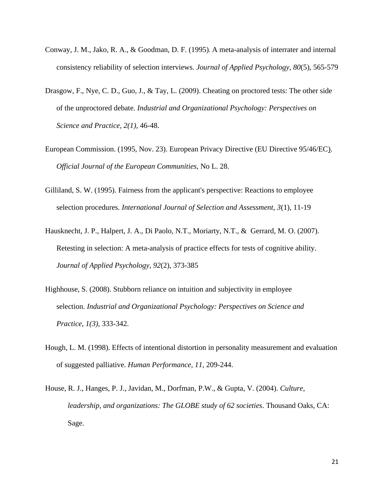- Conway, J. M., Jako, R. A., & Goodman, D. F. (1995). A meta-analysis of interrater and internal consistency reliability of selection interviews. *Journal of Applied Psychology, 80*(5), 565-579
- Drasgow, F., Nye, C. D., Guo, J., & Tay, L. (2009). Cheating on proctored tests: The other side of the unproctored debate. *Industrial and Organizational Psychology: Perspectives on Science and Practice, 2(1),* 46-48.
- European Commission. (1995, Nov. 23). European Privacy Directive (EU Directive 95/46/EC). *Official Journal of the European Communities*, No L. 28.
- Gilliland, S. W. (1995). Fairness from the applicant's perspective: Reactions to employee selection procedures. *International Journal of Selection and Assessment, 3*(1), 11-19
- Hausknecht, J. P., Halpert, J. A., Di Paolo, N.T., Moriarty, N.T., & Gerrard, M. O. (2007). Retesting in selection: A meta-analysis of practice effects for tests of cognitive ability. *Journal of Applied Psychology, 92*(2), 373-385
- Highhouse, S. (2008). Stubborn reliance on intuition and subjectivity in employee selection. *Industrial and Organizational Psychology: Perspectives on Science and Practice, 1(3)*, 333-342.
- Hough, L. M. (1998). Effects of intentional distortion in personality measurement and evaluation of suggested palliative. *Human Performance, 11*, 209-244.
- House, R. J., Hanges, P. J., Javidan, M., Dorfman, P.W., & Gupta, V. (2004). *Culture, leadership, and organizations: The GLOBE study of 62 societies*. Thousand Oaks, CA: Sage.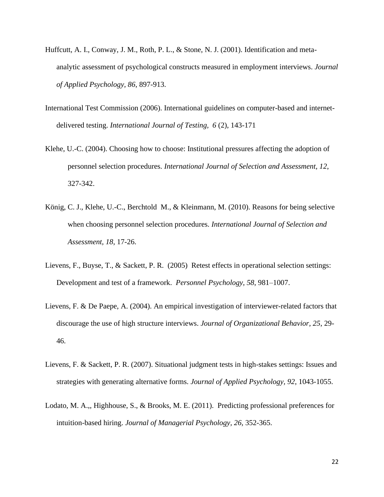- Huffcutt, A. I., Conway, J. M., Roth, P. L., & Stone, N. J. (2001). Identification and metaanalytic assessment of psychological constructs measured in employment interviews. *Journal of Applied Psychology, 86*, 897-913.
- International Test Commission (2006). International guidelines on computer-based and internetdelivered testing. *International Journal of Testing, 6* (2), 143-171
- Klehe, U.-C. (2004). Choosing how to choose: Institutional pressures affecting the adoption of personnel selection procedures. *International Journal of Selection and Assessment, 12*, 327-342.
- König, C. J., Klehe, U.-C., Berchtold M., & Kleinmann, M. (2010). Reasons for being selective when choosing personnel selection procedures. *International Journal of Selection and Assessment, 18*, 17-26.
- Lievens, F., Buyse, T., & Sackett, P. R. (2005) Retest effects in operational selection settings: Development and test of a framework. *Personnel Psychology, 58*, 981–1007.
- Lievens, F. & De Paepe, A. (2004). An empirical investigation of interviewer-related factors that discourage the use of high structure interviews. *Journal of Organizational Behavior, 25*, 29- 46.
- Lievens, F. & Sackett, P. R. (2007). Situational judgment tests in high-stakes settings: Issues and strategies with generating alternative forms. *Journal of Applied Psychology, 92*, 1043-1055.
- Lodato, M. A.,, Highhouse, S., & Brooks, M. E. (2011). Predicting professional preferences for intuition-based hiring. *Journal of Managerial Psychology, 26,* 352-365.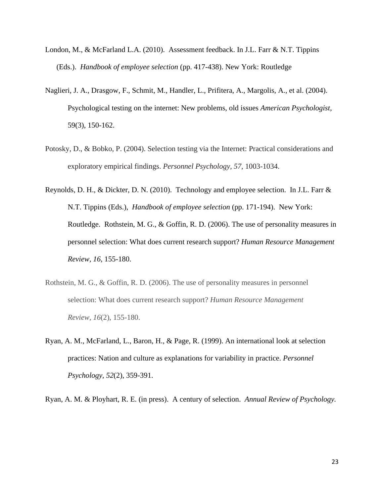- London, M., & McFarland L.A. (2010). Assessment feedback. In J.L. Farr & N.T. Tippins (Eds.). *Handbook of employee selection* (pp. 417-438). New York: Routledge
- Naglieri, J. A., Drasgow, F., Schmit, M., Handler, L., Prifitera, A., Margolis, A., et al. (2004). Psychological testing on the internet: New problems, old issues *American Psychologist*, 59(3), 150-162.
- Potosky, D., & Bobko, P. (2004). Selection testing via the Internet: Practical considerations and exploratory empirical findings. *Personnel Psychology, 57*, 1003-1034.
- Reynolds, D. H., & Dickter, D. N. (2010). Technology and employee selection. In J.L. Farr & N.T. Tippins (Eds.), *Handbook of employee selection* (pp. 171-194). New York: Routledge. Rothstein, M. G., & Goffin, R. D. (2006). The use of personality measures in personnel selection: What does current research support? *Human Resource Management Review, 16,* 155-180.
- Rothstein, M. G., & Goffin, R. D. (2006). The use of personality measures in personnel selection: What does current research support? *Human Resource Management Review, 16*(2), 155-180.
- Ryan, A. M., McFarland, L., Baron, H., & Page, R. (1999). An international look at selection practices: Nation and culture as explanations for variability in practice. *Personnel Psychology, 52*(2), 359-391.

Ryan, A. M. & Ployhart, R. E. (in press). A century of selection. *Annual Review of Psychology.*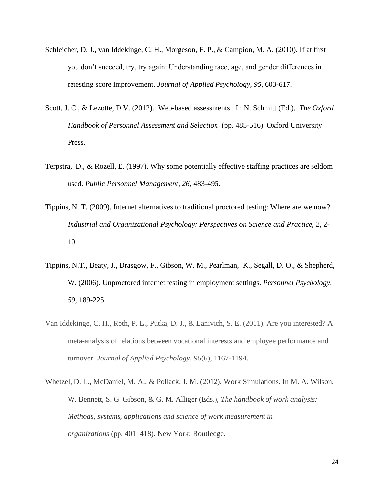- Schleicher, D. J., van Iddekinge, C. H., Morgeson, F. P., & Campion, M. A. (2010). If at first you don't succeed, try, try again: Understanding race, age, and gender differences in retesting score improvement. *Journal of Applied Psychology, 95*, 603-617.
- Scott, J. C., & Lezotte, D.V. (2012). Web-based assessments. In N. Schmitt (Ed.), *The Oxford Handbook of Personnel Assessment and Selection* (pp. 485-516). Oxford University Press.
- Terpstra, D., & Rozell, E. (1997). Why some potentially effective staffing practices are seldom used. *Public Personnel Management, 26*, 483-495.
- Tippins, N. T. (2009). Internet alternatives to traditional proctored testing: Where are we now? *Industrial and Organizational Psychology: Perspectives on Science and Practice, 2*, 2- 10.
- Tippins, N.T., Beaty, J., Drasgow, F., Gibson, W. M., Pearlman, K., Segall, D. O., & Shepherd, W. (2006). Unproctored internet testing in employment settings. *Personnel Psychology, 59*, 189-225.
- Van Iddekinge, C. H., Roth, P. L., Putka, D. J., & Lanivich, S. E. (2011). Are you interested? A meta-analysis of relations between vocational interests and employee performance and turnover. *Journal of Applied Psychology, 96*(6), 1167-1194.
- Whetzel, D. L., McDaniel, M. A., & Pollack, J. M. (2012). Work Simulations. In M. A. Wilson, W. Bennett, S. G. Gibson, & G. M. Alliger (Eds.), *The handbook of work analysis: Methods, systems, applications and science of work measurement in organizations* (pp. 401–418). New York: Routledge.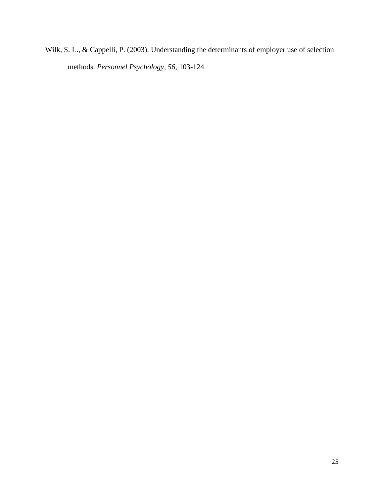Wilk, S. L., & Cappelli, P. (2003). Understanding the determinants of employer use of selection methods. *Personnel Psychology, 56*, 103-124.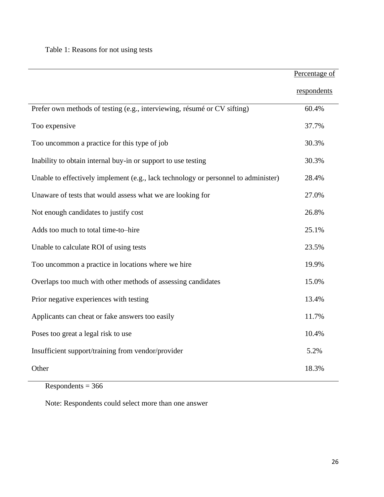# Table 1: Reasons for not using tests

|                                                                                    | Percentage of |
|------------------------------------------------------------------------------------|---------------|
|                                                                                    | respondents   |
| Prefer own methods of testing (e.g., interviewing, résumé or CV sifting)           | 60.4%         |
| Too expensive                                                                      | 37.7%         |
| Too uncommon a practice for this type of job                                       | 30.3%         |
| Inability to obtain internal buy-in or support to use testing                      | 30.3%         |
| Unable to effectively implement (e.g., lack technology or personnel to administer) | 28.4%         |
| Unaware of tests that would assess what we are looking for                         | 27.0%         |
| Not enough candidates to justify cost                                              | 26.8%         |
| Adds too much to total time-to-hire                                                | 25.1%         |
| Unable to calculate ROI of using tests                                             | 23.5%         |
| Too uncommon a practice in locations where we hire                                 | 19.9%         |
| Overlaps too much with other methods of assessing candidates                       | 15.0%         |
| Prior negative experiences with testing                                            | 13.4%         |
| Applicants can cheat or fake answers too easily                                    | 11.7%         |
| Poses too great a legal risk to use                                                | 10.4%         |
| Insufficient support/training from vendor/provider                                 | 5.2%          |
| Other                                                                              | 18.3%         |

 $Respondents = 366$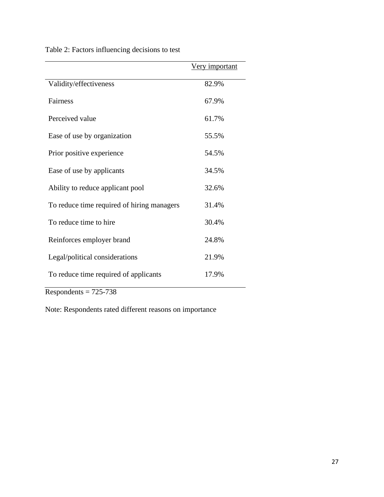|                                            | Very important |
|--------------------------------------------|----------------|
| Validity/effectiveness                     | 82.9%          |
| Fairness                                   | 67.9%          |
| Perceived value                            | 61.7%          |
| Ease of use by organization                | 55.5%          |
| Prior positive experience                  | 54.5%          |
| Ease of use by applicants                  | 34.5%          |
| Ability to reduce applicant pool           | 32.6%          |
| To reduce time required of hiring managers | 31.4%          |
| To reduce time to hire                     | 30.4%          |
| Reinforces employer brand                  | 24.8%          |
| Legal/political considerations             | 21.9%          |
| To reduce time required of applicants      | 17.9%          |

Table 2: Factors influencing decisions to test

 $Respondents = 725-738$ 

Note: Respondents rated different reasons on importance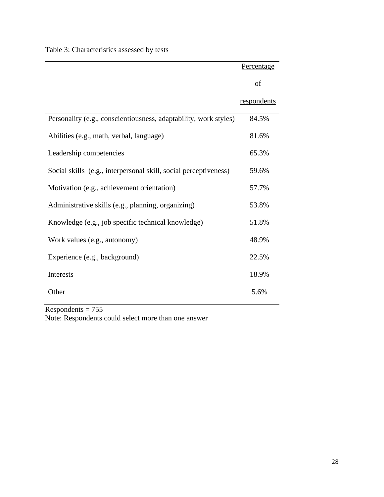|  | Table 3: Characteristics assessed by tests |  |  |  |
|--|--------------------------------------------|--|--|--|
|--|--------------------------------------------|--|--|--|

|                                                                  | Percentage                |
|------------------------------------------------------------------|---------------------------|
|                                                                  | $\underline{\mathrm{of}}$ |
|                                                                  | respondents               |
| Personality (e.g., conscientiousness, adaptability, work styles) | 84.5%                     |
| Abilities (e.g., math, verbal, language)                         | 81.6%                     |
| Leadership competencies                                          | 65.3%                     |
| Social skills (e.g., interpersonal skill, social perceptiveness) | 59.6%                     |
| Motivation (e.g., achievement orientation)                       | 57.7%                     |
| Administrative skills (e.g., planning, organizing)               | 53.8%                     |
| Knowledge (e.g., job specific technical knowledge)               | 51.8%                     |
| Work values (e.g., autonomy)                                     | 48.9%                     |
| Experience (e.g., background)                                    | 22.5%                     |
| Interests                                                        | 18.9%                     |
| Other                                                            | 5.6%                      |

 $Respondents = 755$ Note: Respondents could select more than one answer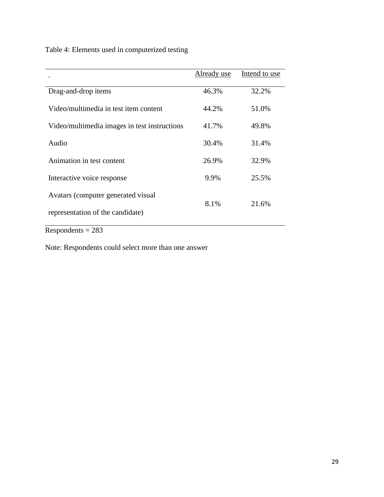Table 4: Elements used in computerized testing

|                                              | Already use | Intend to use |
|----------------------------------------------|-------------|---------------|
|                                              |             |               |
| Drag-and-drop items                          | 46.3%       | 32.2%         |
| Video/multimedia in test item content        | 44.2%       | 51.0%         |
|                                              |             |               |
| Video/multimedia images in test instructions | 41.7%       | 49.8%         |
| Audio                                        | 30.4%       | 31.4%         |
|                                              |             |               |
| Animation in test content                    | 26.9%       | 32.9%         |
| Interactive voice response                   | 9.9%        | 25.5%         |
|                                              |             |               |
| Avatars (computer generated visual)          |             |               |
|                                              | 8.1%        | 21.6%         |
| representation of the candidate)             |             |               |
|                                              |             |               |

 $Respondents = 283$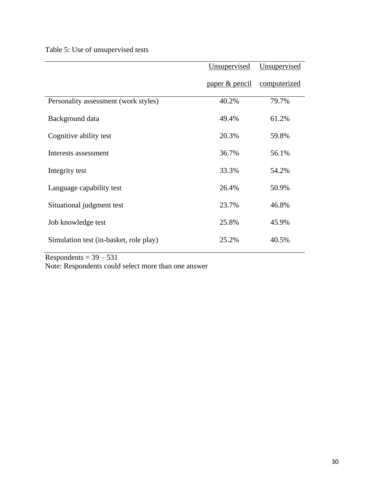Table 5: Use of unsupervised tests

|                                        | Unsupervised              | Unsupervised |
|----------------------------------------|---------------------------|--------------|
|                                        | <u>paper &amp; pencil</u> | computerized |
| Personality assessment (work styles)   | 40.2%                     | 79.7%        |
| Background data                        | 49.4%                     | 61.2%        |
| Cognitive ability test                 | 20.3%                     | 59.8%        |
| Interests assessment                   | 36.7%                     | 56.1%        |
| Integrity test                         | 33.3%                     | 54.2%        |
| Language capability test               | 26.4%                     | 50.9%        |
| Situational judgment test              | 23.7%                     | 46.8%        |
| Job knowledge test                     | 25.8%                     | 45.9%        |
| Simulation test (in-basket, role play) | 25.2%                     | 40.5%        |

Respondents =  $39 - 531$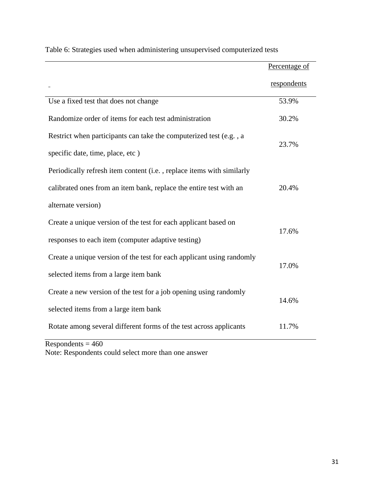|                                                                       | Percentage of |  |
|-----------------------------------------------------------------------|---------------|--|
|                                                                       | respondents   |  |
| Use a fixed test that does not change                                 | 53.9%         |  |
| Randomize order of items for each test administration                 | 30.2%         |  |
| Restrict when participants can take the computerized test (e.g., a    | 23.7%         |  |
| specific date, time, place, etc)                                      |               |  |
| Periodically refresh item content (i.e., replace items with similarly |               |  |
| calibrated ones from an item bank, replace the entire test with an    | 20.4%         |  |
| alternate version)                                                    |               |  |
| Create a unique version of the test for each applicant based on       | 17.6%         |  |
| responses to each item (computer adaptive testing)                    |               |  |
| Create a unique version of the test for each applicant using randomly |               |  |
| selected items from a large item bank                                 | 17.0%         |  |
| Create a new version of the test for a job opening using randomly     |               |  |
| selected items from a large item bank                                 | 14.6%         |  |
| Rotate among several different forms of the test across applicants    | 11.7%         |  |

Table 6: Strategies used when administering unsupervised computerized tests

 $Respondents = 460$ Note: Respondents could select more than one answer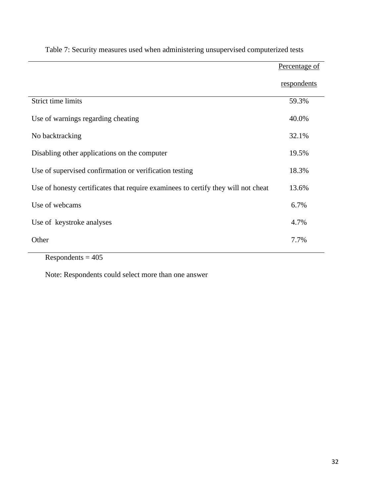|                                                                                   | Percentage of |
|-----------------------------------------------------------------------------------|---------------|
|                                                                                   | respondents   |
| Strict time limits                                                                | 59.3%         |
| Use of warnings regarding cheating                                                | 40.0%         |
| No backtracking                                                                   | 32.1%         |
| Disabling other applications on the computer                                      | 19.5%         |
| Use of supervised confirmation or verification testing                            | 18.3%         |
| Use of honesty certificates that require examinees to certify they will not cheat | 13.6%         |
| Use of webcams                                                                    | 6.7%          |
| Use of keystroke analyses                                                         | 4.7%          |
| Other                                                                             | 7.7%          |
| $\mathbf{D}$ $\mathbf{1}$ $\mathbf{1}$ $\mathbf{10}$                              |               |

# Table 7: Security measures used when administering unsupervised computerized tests

 $Respondents = 405$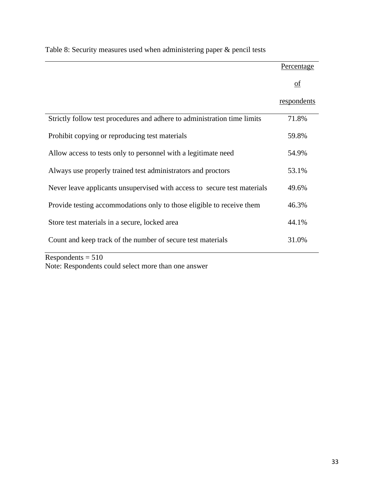|                                                                          | Percentage                |
|--------------------------------------------------------------------------|---------------------------|
|                                                                          | $\underline{\mathrm{of}}$ |
|                                                                          | respondents               |
| Strictly follow test procedures and adhere to administration time limits | 71.8%                     |
| Prohibit copying or reproducing test materials                           | 59.8%                     |
| Allow access to tests only to personnel with a legitimate need           | 54.9%                     |
| Always use properly trained test administrators and proctors             | 53.1%                     |
| Never leave applicants unsupervised with access to secure test materials | 49.6%                     |
| Provide testing accommodations only to those eligible to receive them    | 46.3%                     |
| Store test materials in a secure, locked area                            | 44.1%                     |
| Count and keep track of the number of secure test materials              | 31.0%                     |

Table 8: Security measures used when administering paper & pencil tests

 $Respondents = 510$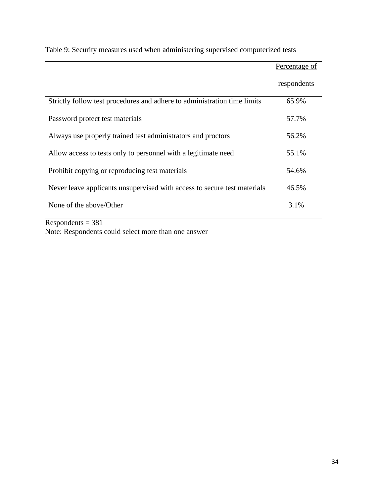|                                                                          | Percentage of |
|--------------------------------------------------------------------------|---------------|
|                                                                          | respondents   |
| Strictly follow test procedures and adhere to administration time limits | 65.9%         |
| Password protect test materials                                          | 57.7%         |
| Always use properly trained test administrators and proctors             | 56.2%         |
| Allow access to tests only to personnel with a legitimate need           | 55.1%         |
| Prohibit copying or reproducing test materials                           | 54.6%         |
| Never leave applicants unsupervised with access to secure test materials | 46.5%         |
| None of the above/Other                                                  | 3.1%          |

Table 9: Security measures used when administering supervised computerized tests

 $Respondents = 381$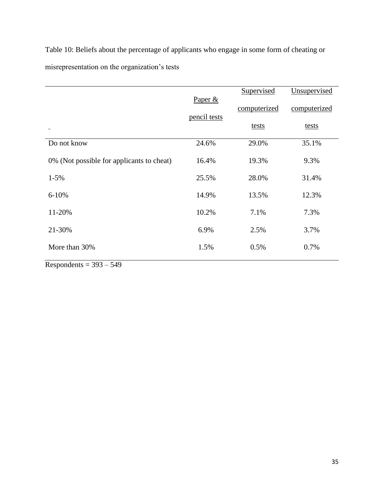Table 10: Beliefs about the percentage of applicants who engage in some form of cheating or misrepresentation on the organization's tests

|                                           |                         | Supervised   | Unsupervised |
|-------------------------------------------|-------------------------|--------------|--------------|
|                                           | Paper &<br>pencil tests | computerized | computerized |
|                                           |                         | tests        | tests        |
| Do not know                               | 24.6%                   | 29.0%        | 35.1%        |
| 0% (Not possible for applicants to cheat) | 16.4%                   | 19.3%        | 9.3%         |
| $1 - 5\%$                                 | 25.5%                   | 28.0%        | 31.4%        |
| $6 - 10%$                                 | 14.9%                   | 13.5%        | 12.3%        |
| 11-20%                                    | 10.2%                   | 7.1%         | 7.3%         |
| 21-30%                                    | 6.9%                    | 2.5%         | 3.7%         |
| More than 30%                             | 1.5%                    | 0.5%         | 0.7%         |
|                                           |                         |              |              |

 $Respondents = 393 - 549$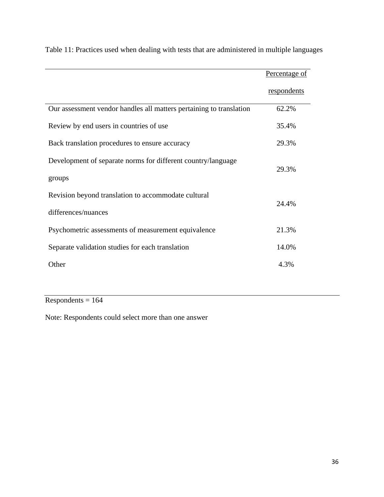|                                                                     | Percentage of |
|---------------------------------------------------------------------|---------------|
|                                                                     | respondents   |
| Our assessment vendor handles all matters pertaining to translation | 62.2%         |
| Review by end users in countries of use                             | 35.4%         |
| Back translation procedures to ensure accuracy                      | 29.3%         |
| Development of separate norms for different country/language        | 29.3%         |
| groups                                                              |               |
| Revision beyond translation to accommodate cultural                 | 24.4%         |
| differences/nuances                                                 |               |
| Psychometric assessments of measurement equivalence                 | 21.3%         |
| Separate validation studies for each translation                    | 14.0%         |
| Other                                                               | 4.3%          |

Table 11: Practices used when dealing with tests that are administered in multiple languages

 $Respondents = 164$